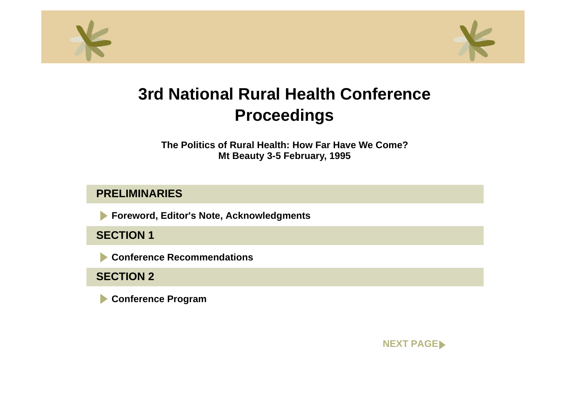<span id="page-0-0"></span>



**The Politics of Rural Health: How Far Have We Come?Mt Beauty 3-5 February, 1995**

# **PRELIMINARIES**

**Foreword, Editor's Note, Acknowledgments**  $\blacktriangleright$ 

**SECTION 1**

**Conference Recommendations**

**SECTION 2**

**Conference Program**

**[NEXT PAGE](#page-1-0)**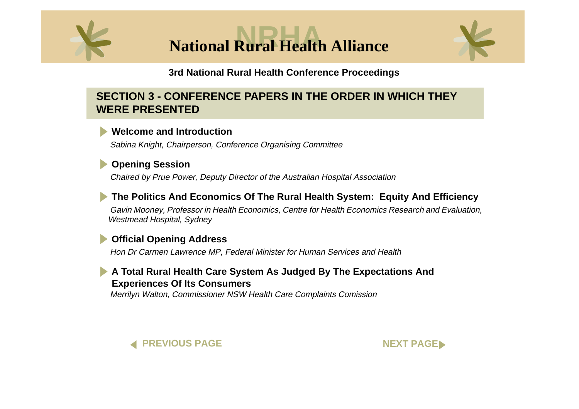<span id="page-1-0"></span>

**National Rural Health Alliance** 



#### **3rd National Rural Health Conference Proceedings**

# **SECTION 3 - CONFERENCE PAPERS IN THE ORDER IN WHICH THEY WERE PRESENTED**

### **[Welcome and Introduction](#page-0-0)**

Sabina Knight, Chairperson, Conference Organising Committee

# **[Opening Session](#page-0-0)**

Chaired by Prue Power, Deputy Director of the Australian Hospital Association

# **[The Politics And Economics Of The Rural Health System: Equity And Efficienc](#page-0-0)y**

Gavin Mooney, Professor in Health Economics, Centre for Health Economics Research and Evaluation, Westmead Hospital, Sydney

# **[Official Opening Address](#page-0-0)**

Hon Dr Carmen Lawrence MP, Federal Minister for Human Services and Health

### **[A Total Rural Health Care System As Judged By The Expectations And](#page-0-0) Experiences Of Its Consumers**

Merrilyn Walton, Commissioner NSW Health Care Complaints Comission



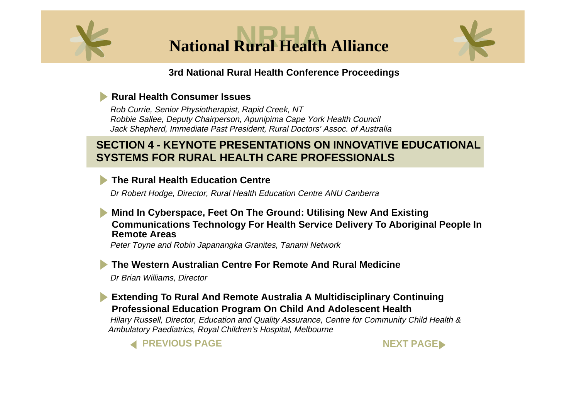<span id="page-2-0"></span>



### **[Rural Health Consumer Issues](#page-0-0)**

Rob Currie, Senior Physiotherapist, Rapid Creek, NT Robbie Sallee, Deputy Chairperson, Apunipima Cape York Health Council Jack Shepherd, Immediate Past President, Rural Doctors' Assoc. of Australia

# **SECTION 4 - KEYNOTE PRESENTATIONS ON INNOVATIVE EDUCATIONAL SYSTEMS FOR RURAL HEALTH CARE PROFESSIONALS**

# **[The Rural Health Education Centre](#page-0-0)**

Dr Robert Hodge, Director, Rural Health Education Centre ANU Canberra

#### **Mind In Cyberspace, Feet On The Ground: Utilising New And Existing [Communications Technology For Health Service Delivery To Aboriginal People In](#page-0-0) Remote Areas**

Peter Toyne and Robin Japanangka Granites, Tanami Network

### **[The Western Australian Centre For Remote And Rural Medicine](#page-0-0)**

Dr Brian Williams, Director

### **[Extending To Rural And Remote Australia A Multidisciplinary Continuing](#page-0-0) Professional Education Program On Child And Adolescent Health**

Hilary Russell, Director, Education and Quality Assurance, Centre for Community Child Health & Ambulatory Paediatrics, Royal Children's Hospital, Melbourne



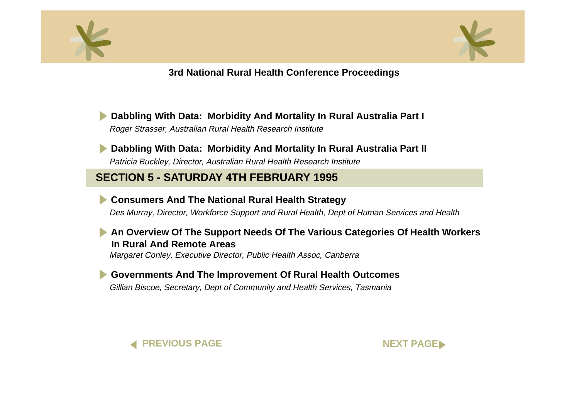<span id="page-3-0"></span>



**[Dabbling With Data: Morbidity And Mortality In Rural Australia Par](#page-0-0)t I** Roger Strasser, Australian Rural Health Research Institute

**[Dabbling With Data: Morbidity And Mortality In Rural Australia Part](#page-0-0) II** Patricia Buckley, Director, Australian Rural Health Research Institute

# **SECTION 5 - SATURDAY 4TH FEBRUARY 1995**

**[Consumers And The National Rural Health Strategy](#page-0-0)**

Des Murray, Director, Workforce Support and Rural Health, Dept of Human Services and Health

#### **[An Overview Of The Support Needs Of The Various Categories Of Health Workers](#page-0-0)  In Rural And Remote Areas**

Margaret Conley, Executive Director, Public Health Assoc, Canberra

**[Governments And The Improvement Of Rural Health Outcomes](#page-0-0)**

Gillian Biscoe, Secretary, Dept of Community and Health Services, Tasmania



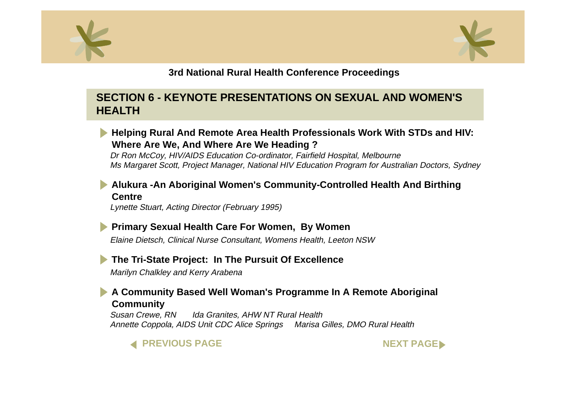<span id="page-4-0"></span>



# **SECTION 6 - KEYNOTE PRESENTATIONS ON SEXUAL AND WOMEN'S HEALTH**



# **[Alukura -An Aboriginal Women's Community-Controlled Health And Birthin](#page-0-0)g Centre**

Lynette Stuart, Acting Director (February 1995)

**[Primary Sexual Health Care For Women, By Wome](#page-0-0)n** Elaine Dietsch, Clinical Nurse Consultant, Womens Health, Leeton NSW

# **[The Tri-State Project: In The Pursuit Of Excellence](#page-0-0)**

Marilyn Chalkley and Kerry Arabena

# **[A Community Based Well Woman's Programme In A Remote Aborigin](#page-0-0)al Community**

Susan Crewe, RN Ida Granites, AHW NT Rural Health Annette Coppola, AIDS Unit CDC Alice Springs Marisa Gilles, DMO Rural Health



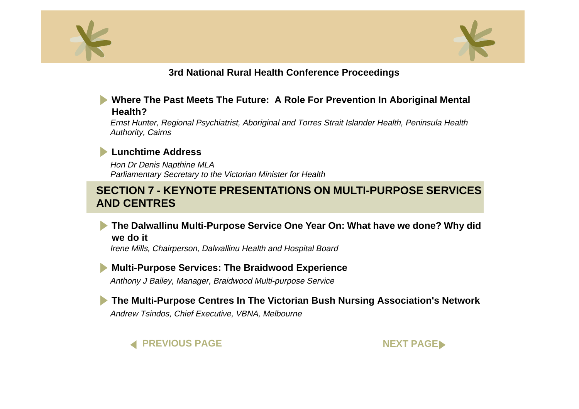<span id="page-5-0"></span>



#### **[Where The Past Meets The Future: A Role For Prevention In Aboriginal Menta](#page-0-0)l Health?**

Ernst Hunter, Regional Psychiatrist, Aboriginal and Torres Strait Islander Health, Peninsula Health Authority, Cairns

#### **[Lunchtime Address](#page-0-0)**

Hon Dr Denis Napthine MLA Parliamentary Secretary to the Victorian Minister for Health

# **SECTION 7 - KEYNOTE PRESENTATIONS ON MULTI-PURPOSE SERVICES AND CENTRES**

**[The Dalwallinu Multi-Purpose Service One Year On: What have we done? Why did](#page-0-0)  we do it**

Irene Mills, Chairperson, Dalwallinu Health and Hospital Board

#### **[Multi-Purpose Services: The Braidwood Experience](#page-0-0)**

Anthony J Bailey, Manager, Braidwood Multi-purpose Service

**[The Multi-Purpose Centres In The Victorian Bush Nursing Association's Network](#page-0-0)**

Andrew Tsindos, Chief Executive, VBNA, Melbourne

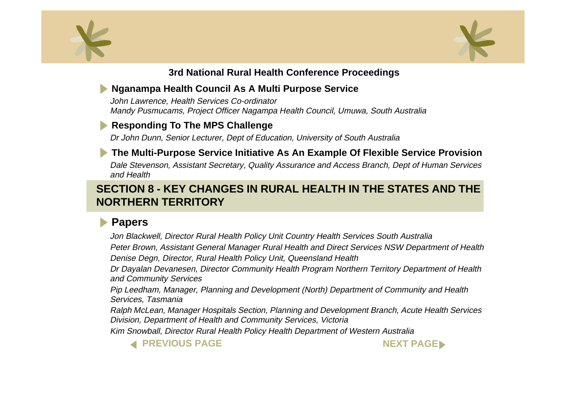<span id="page-6-0"></span>



# **[Nganampa Health Council As A Multi Purpose Service](#page-0-0)**

John Lawrence, Health Services Co-ordinator Mandy Pusmucams, Project Officer Nagampa Health Council, Umuwa, South Australia

# **[Responding To The MPS Challenge](#page-0-0)**

Dr John Dunn, Senior Lecturer, Dept of Education, University of South Australia

# **[The Multi-Purpose Service Initiative As An Example Of Flexible Service Provision](#page-0-0)**

Dale Stevenson, Assistant Secretary, Quality Assurance and Access Branch, Dept of Human Services and Health

# **SECTION 8 - KEY CHANGES IN RURAL HEALTH IN THE STATES AND THE NORTHERN TERRITORY**

# **[Papers](#page-0-0)**

Jon Blackwell, Director Rural Health Policy Unit Country Health Services South Australia Peter Brown, Assistant General Manager Rural Health and Direct Services NSW Department of Health Denise Degn, Director, Rural Health Policy Unit, Queensland Health

Dr Dayalan Devanesen, Director Community Health Program Northern Territory Department of Health and Community Services

Pip Leedham, Manager, Planning and Development (North) Department of Community and Health Services, Tasmania

Ralph McLean, Manager Hospitals Section, Planning and Development Branch, Acute Health Services Division, Department of Health and Community Services, Victoria

Kim Snowball, Director Rural Health Policy Health Department of Western Australia



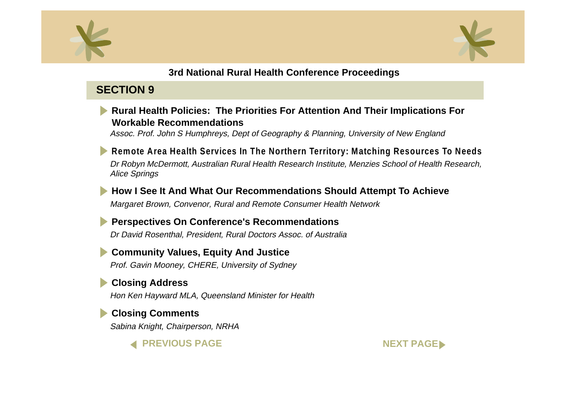<span id="page-7-0"></span>



# **SECTION 9**

### **[Rural Health Policies: The Priorities For Attention And Their Implications Fo](#page-0-0)r Workable Recommendations**

Assoc. Prof. John S Humphreys, Dept of Geography & Planning, University of New England

**[Remote Area Health Services In The Northern Territory: Matching Resources To Needs](#page-0-0)** Dr Robyn McDermott, Australian Rural Health Research Institute, Menzies School of Health Research, Alice Springs

**[How I See It And What Our Recommendations Should Attempt To Achiev](#page-0-0)e** Margaret Brown, Convenor, Rural and Remote Consumer Health Network

**[Perspectives On Conference's Recommendations](#page-0-0)**

Dr David Rosenthal, President, Rural Doctors Assoc. of Australia

**[Community Values, Equity And Justic](#page-0-0)e** Prof. Gavin Mooney, CHERE, University of Sydney

# **[Closing Address](#page-0-0)**

Hon Ken Hayward MLA, Queensland Minister for Health

# **[Closing Comments](#page-0-0)**

Sabina Knight, Chairperson, NRHA

**[PREVIOUS PAGE](#page-6-0) [NEXT PAGE](#page-8-0)**

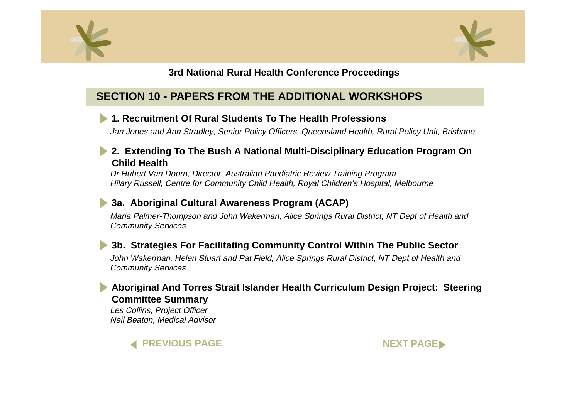<span id="page-8-0"></span>



# **SECTION 10 - PAPERS FROM THE ADDITIONAL WORKSHOPS**

### **[1. Recruitment Of Rural Students To The Health Professions](#page-0-0)**

Jan Jones and Ann Stradley, Senior Policy Officers, Queensland Health, Rural Policy Unit, Brisbane

### **[2. Extending To The Bush A National Multi-Disciplinary Education Program O](#page-0-0)n Child Health**

Dr Hubert Van Doorn, Director, Australian Paediatric Review Training Program Hilary Russell, Centre for Community Child Health, Royal Children's Hospital, Melbourne

### **[3a. Aboriginal Cultural Awareness Program \(ACAP](#page-0-0))**

Maria Palmer-Thompson and John Wakerman, Alice Springs Rural District, NT Dept of Health and Community Services

# **[3b. Strategies For Facilitating Community Control Within The Public Secto](#page-0-0)r**

John Wakerman, Helen Stuart and Pat Field, Alice Springs Rural District, NT Dept of Health and Community Services

### **[Aboriginal And Torres Strait Islander Health Curriculum Design Project: Steering](#page-0-0) Committee Summary**

Les Collins, Project Officer Neil Beaton, Medical Advisor



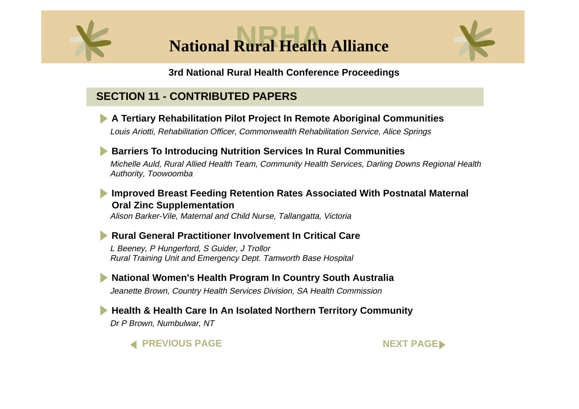<span id="page-9-0"></span>

**National Rural Health Alliance** 



#### **3rd National Rural Health Conference Proceedings**

# **SECTION 11 - CONTRIBUTED PAPERS**



# **[Improved Breast Feeding Retention Rates Associated With Postnatal Materna](#page-0-0)l Oral Zinc Supplementation**

Alison Barker-Vile, Maternal and Child Nurse, Tallangatta, Victoria

# **Rural General Practitioner Involvement In Critical Care**

L Beeney, P Hungerford, S Guider, J Trollor Rural Training Unit and Emergency Dept. Tamworth Base Hospital

**[National Women's Health Program In Country South Australi](#page-0-0)a** Jeanette Brown, Country Health Services Division, SA Health Commission

**[Health & Health Care In An Isolated Northern Territory Community](#page-0-0)** Dr P Brown, Numbulwar, NT



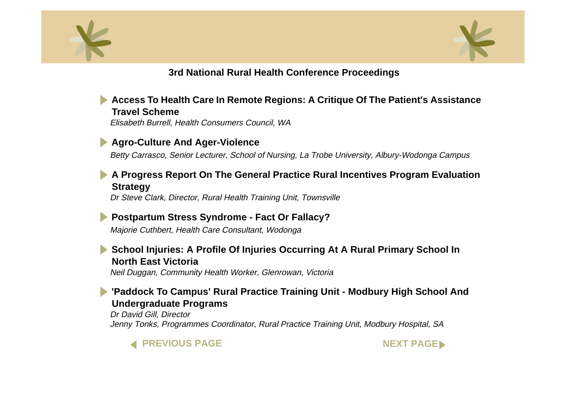<span id="page-10-0"></span>



#### **[Access To Health Care In Remote Regions: A Critique Of The Patient's Assistance](#page-0-0)  Travel Scheme**

Elisabeth Burrell, Health Consumers Council, WA

#### **[Agro-Culture And Ager-Violence](#page-0-0)**

Betty Carrasco, Senior Lecturer, School of Nursing, La Trobe University, Albury-Wodonga Campus

#### **[A Progress Report On The General Practice Rural Incentives Program Evaluation](#page-0-0) Strategy**

Dr Steve Clark, Director, Rural Health Training Unit, Townsville

#### **[Postpartum Stress Syndrome - Fact Or Fallacy](#page-0-0)?**

Majorie Cuthbert, Health Care Consultant, Wodonga

### **[School Injuries: A Profile Of Injuries Occurring At A Rural Primary School I](#page-0-0)n North East Victoria**

Neil Duggan, Community Health Worker, Glenrowan, Victoria

### **['Paddock To Campus' Rural Practice Training Unit - Modbury High School And](#page-0-0) Undergraduate Programs**

Dr David Gill, Director Jenny Tonks, Programmes Coordinator, Rural Practice Training Unit, Modbury Hospital, SA



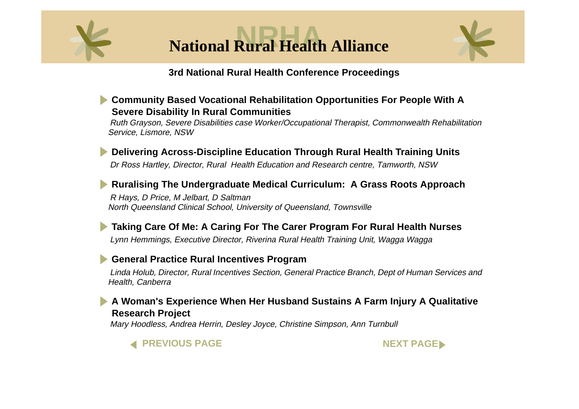<span id="page-11-0"></span>



#### **[Community Based Vocational Rehabilitation Opportunities For People With A](#page-0-0) Severe Disability In Rural Communities**

Ruth Grayson, Severe Disabilities case Worker/Occupational Therapist, Commonwealth Rehabilitation Service, Lismore, NSW

**[Delivering Across-Discipline Education Through Rural Health Training Units](#page-0-0)** Dr Ross Hartley, Director, Rural Health Education and Research centre, Tamworth, NSW

# **[Ruralising The Undergraduate Medical Curriculum: A Grass Roots Approac](#page-0-0)h**

R Hays, D Price, M Jelbart, D Saltman North Queensland Clinical School, University of Queensland, Townsville

# **[Taking Care Of Me: A Caring For The Carer Program For Rural Health Nurses](#page-0-0)**

Lynn Hemmings, Executive Director, Riverina Rural Health Training Unit, Wagga Wagga

# **[General Practice Rural Incentives Program](#page-0-0)**

Linda Holub, Director, Rural Incentives Section, General Practice Branch, Dept of Human Services and Health, Canberra

### **[A Woman's Experience When Her Husband Sustains A Farm Injury A Qualitativ](#page-0-0)e Research Project**

Mary Hoodless, Andrea Herrin, Desley Joyce, Christine Simpson, Ann Turnbull



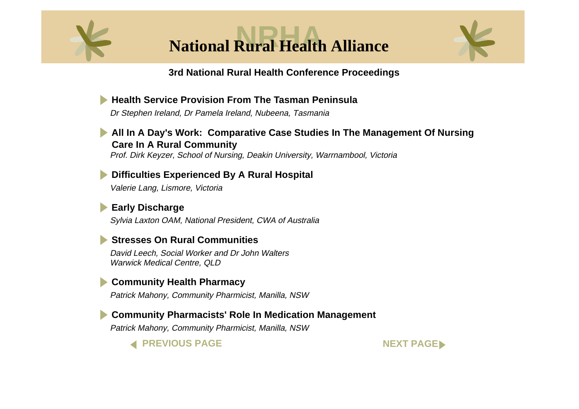<span id="page-12-0"></span>

**National Rural Health Alliance** 



### **3rd National Rural Health Conference Proceedings**

**[Health Service Provision From The Tasman Peninsula](#page-0-0)** Dr Stephen Ireland, Dr Pamela Ireland, Nubeena, Tasmania **[All In A Day's Work: Comparative Case Studies In The Management Of Nursin](#page-0-0)g Care In A Rural Community**

Prof. Dirk Keyzer, School of Nursing, Deakin University, Warrnambool, Victoria

**[Difficulties Experienced By A Rural Hospital](#page-0-0)** Valerie Lang, Lismore, Victoria

**[Early Discharge](#page-0-0)** Sylvia Laxton OAM, National President, CWA of Australia

### **[Stresses On Rural Communities](#page-0-0)**

David Leech, Social Worker and Dr John Walters Warwick Medical Centre, QLD

# **[Community Health Pharmacy](#page-0-0)**

Patrick Mahony, Community Pharmicist, Manilla, NSW

**[Community Pharmacists' Role In Medication Managemen](#page-0-0)t**

Patrick Mahony, Community Pharmicist, Manilla, NSW



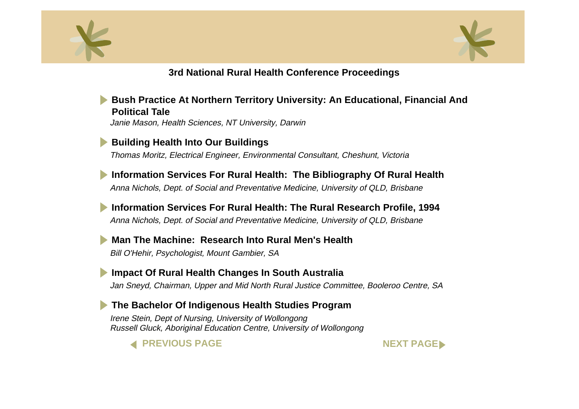<span id="page-13-0"></span>



**[Bush Practice At Northern Territory University: An Educational, Financial An](#page-0-0)d Political Tale**Janie Mason, Health Sciences, NT University, Darwin

**[Building Health Into Our Buildings](#page-0-0)** Thomas Moritz, Electrical Engineer, Environmental Consultant, Cheshunt, Victoria

**[Information Services For Rural Health: The Bibliography Of Rural Health](#page-0-0)** Anna Nichols, Dept. of Social and Preventative Medicine, University of QLD, Brisbane

**[Information Services For Rural Health: The Rural Research Profile, 1994](#page-0-0)** Anna Nichols, Dept. of Social and Preventative Medicine, University of QLD, Brisbane

**[Man The Machine: Research Into Rural Men's Health](#page-0-0)**Bill O'Hehir, Psychologist, Mount Gambier, SA

**[Impact Of Rural Health Changes In South Australi](#page-0-0)a** Jan Sneyd, Chairman, Upper and Mid North Rural Justice Committee, Booleroo Centre, SA

**[The Bachelor Of Indigenous Health Studies Program](#page-0-0)** Irene Stein, Dept of Nursing, University of Wollongong Russell Gluck, Aboriginal Education Centre, University of Wollongong



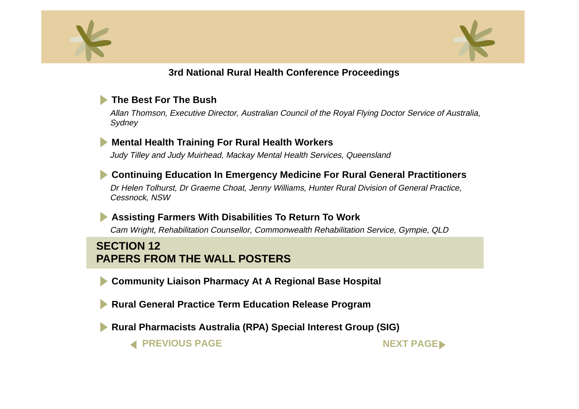<span id="page-14-0"></span>



### **[The Best For The Bush](#page-0-0)**

Allan Thomson, Executive Director, Australian Council of the Royal Flying Doctor Service of Australia, **Svdnev** 

#### **[Mental Health Training For Rural Health Workers](#page-0-0)**

Judy Tilley and Judy Muirhead, Mackay Mental Health Services, Queensland

#### **[Continuing Education In Emergency Medicine For Rural General Practitioners](#page-0-0)**

Dr Helen Tolhurst, Dr Graeme Choat, Jenny Williams, Hunter Rural Division of General Practice, Cessnock, NSW

#### **[Assisting Farmers With Disabilities To Return To Wor](#page-0-0)k**

Cam Wright, Rehabilitation Counsellor, Commonwealth Rehabilitation Service, Gympie, QLD

# **SECTION 12PAPERS FROM THE WALL POSTERS**

**[Community Liaison Pharmacy At A Regional Base Hospit](#page-0-0)al**

**[Rural General Practice Term Education Release Program](#page-0-0)**

**[Rural Pharmacists Australia \(RPA\) Special Interest Group \(SIG](#page-0-0))**

**[PREVIOUS PAGE](#page-13-0) AND REXT PAGE**